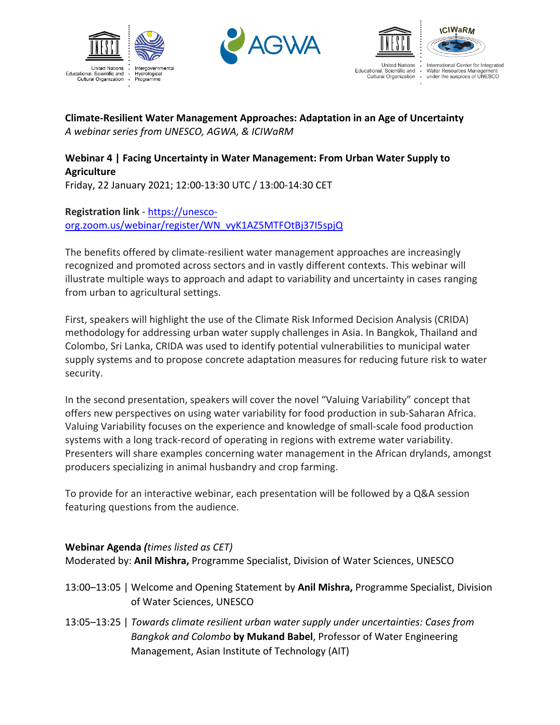





International Center for Integrated International Genter for integrate<br>Water Resources Management<br>under the auspices of UNESCO Cultural Organization .

**ICIWARM** 

## **Climate-Resilient Water Management Approaches: Adaptation in an Age of Uncertainty** *A webinar series from UNESCO, AGWA, & ICIWaRM*

## **Webinar 4 | Facing Uncertainty in Water Management: From Urban Water Supply to Agriculture**

Friday, 22 January 2021; 12:00-13:30 UTC / 13:00-14:30 CET

## **Registration link** - https://unescoorg.zoom.us/webinar/register/WN\_vyK1AZ5MTFOtBj37I5spjQ

The benefits offered by climate-resilient water management approaches are increasingly recognized and promoted across sectors and in vastly different contexts. This webinar will illustrate multiple ways to approach and adapt to variability and uncertainty in cases ranging from urban to agricultural settings.

First, speakers will highlight the use of the Climate Risk Informed Decision Analysis (CRIDA) methodology for addressing urban water supply challenges in Asia. In Bangkok, Thailand and Colombo, Sri Lanka, CRIDA was used to identify potential vulnerabilities to municipal water supply systems and to propose concrete adaptation measures for reducing future risk to water security.

In the second presentation, speakers will cover the novel "Valuing Variability" concept that offers new perspectives on using water variability for food production in sub-Saharan Africa. Valuing Variability focuses on the experience and knowledge of small-scale food production systems with a long track-record of operating in regions with extreme water variability. Presenters will share examples concerning water management in the African drylands, amongst producers specializing in animal husbandry and crop farming.

To provide for an interactive webinar, each presentation will be followed by a Q&A session featuring questions from the audience.

## **Webinar Agenda** *(times listed as CET)*

Moderated by: **Anil Mishra,** Programme Specialist, Division of Water Sciences, UNESCO

- 13:00–13:05 | Welcome and Opening Statement by **Anil Mishra,** Programme Specialist, Division of Water Sciences, UNESCO
- 13:05–13:25 | *Towards climate resilient urban water supply under uncertainties: Cases from Bangkok and Colombo* **by Mukand Babel**, Professor of Water Engineering Management, Asian Institute of Technology (AIT)